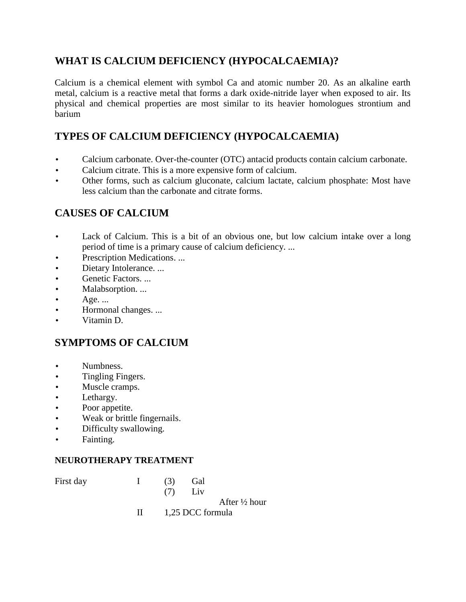# **WHAT IS CALCIUM DEFICIENCY (HYPOCALCAEMIA)?**

Calcium is a chemical element with symbol Ca and atomic number 20. As an alkaline earth metal, calcium is a reactive metal that forms a dark oxide-nitride layer when exposed to air. Its physical and chemical properties are most similar to its heavier homologues strontium and barium

# **TYPES OF CALCIUM DEFICIENCY (HYPOCALCAEMIA)**

- Calcium carbonate. Over-the-counter (OTC) antacid products contain calcium carbonate.
- Calcium citrate. This is a more expensive form of calcium.
- Other forms, such as calcium gluconate, calcium lactate, calcium phosphate: Most have less calcium than the carbonate and citrate forms.

### **CAUSES OF CALCIUM**

- Lack of Calcium. This is a bit of an obvious one, but low calcium intake over a long period of time is a primary cause of calcium deficiency. ...
- Prescription Medications. ...
- Dietary Intolerance. ...
- Genetic Factors. ...
- Malabsorption. ...
- $\bullet$  Age. ...
- Hormonal changes. ...
- Vitamin D.

# **SYMPTOMS OF CALCIUM**

- Numbness.
- Tingling Fingers.
- Muscle cramps.
- Lethargy.
- Poor appetite.
- Weak or brittle fingernails.
- Difficulty swallowing.
- Fainting.

#### **NEUROTHERAPY TREATMENT**

| First day | $\mathbf{I}$ and $\mathbf{I}$ | (3)<br>(7)            | Gal<br>Liv |                          |
|-----------|-------------------------------|-----------------------|------------|--------------------------|
|           |                               |                       |            | After $\frac{1}{2}$ hour |
|           |                               |                       |            |                          |
|           |                               | $II$ 1,25 DCC formula |            |                          |